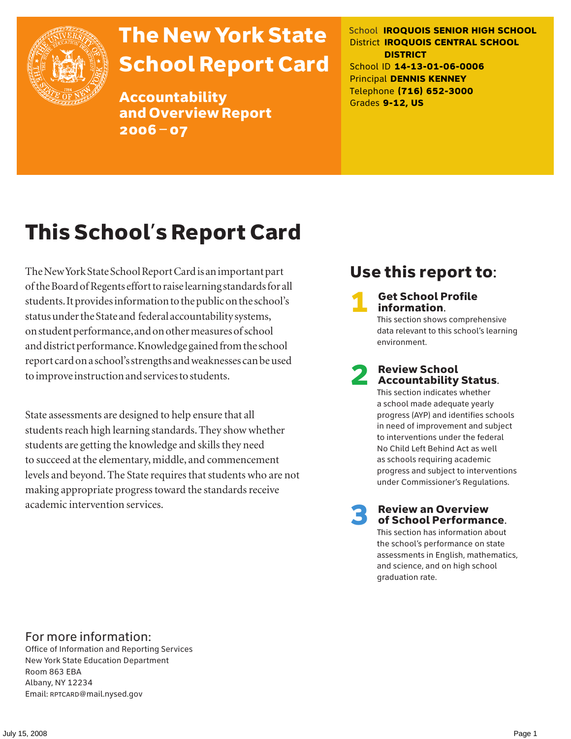

# The New York State School Report Card

Accountability and Overview Report 2006–07

School **IROQUOIS SENIOR HIGH SCHOOL** District **IROQUOIS CENTRAL SCHOOL DISTRICT** School ID **14-13-01-06-0006** Principal **DENNIS KENNEY** Telephone **(716) 652-3000** Grades **9-12, US**

# This School's Report Card

The New York State School Report Card is an important part of the Board of Regents effort to raise learning standards for all students. It provides information to the public on the school's status under the State and federal accountability systems, on student performance, and on other measures of school and district performance. Knowledge gained from the school report card on a school's strengths and weaknesses can be used to improve instruction and services to students.

State assessments are designed to help ensure that all students reach high learning standards. They show whether students are getting the knowledge and skills they need to succeed at the elementary, middle, and commencement levels and beyond. The State requires that students who are not making appropriate progress toward the standards receive academic intervention services.

## Use this report to:

**Get School Profile** information.

This section shows comprehensive data relevant to this school's learning environment.

# 2 Review School Accountability Status.

This section indicates whether a school made adequate yearly progress (AYP) and identifies schools in need of improvement and subject to interventions under the federal No Child Left Behind Act as well as schools requiring academic progress and subject to interventions under Commissioner's Regulations.

**Review an Overview** of School Performance.

This section has information about the school's performance on state assessments in English, mathematics, and science, and on high school graduation rate.

### For more information:

Office of Information and Reporting Services New York State Education Department Room 863 EBA Albany, NY 12234 Email: RPTCARD@mail.nysed.gov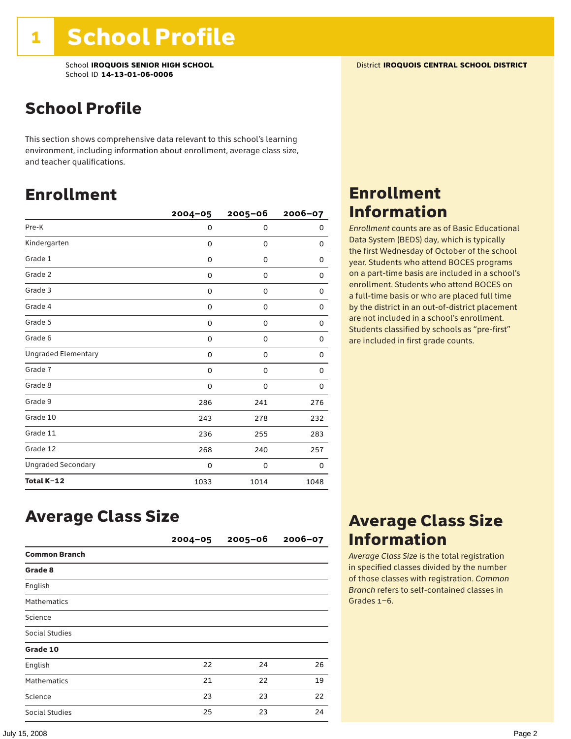School **IROQUOIS SENIOR HIGH SCHOOL** District **IROQUOIS CENTRAL SCHOOL DISTRICT** School ID **14-13-01-06-0006**

### School Profile

This section shows comprehensive data relevant to this school's learning environment, including information about enrollment, average class size, and teacher qualifications.

### Enrollment

|                            | $2004 - 05$ | $2005 - 06$ | 2006-07 |
|----------------------------|-------------|-------------|---------|
| Pre-K                      | 0           | 0           | 0       |
| Kindergarten               | 0           | $\mathbf 0$ | 0       |
| Grade 1                    | 0           | 0           | 0       |
| Grade 2                    | 0           | 0           | 0       |
| Grade 3                    | 0           | 0           | 0       |
| Grade 4                    | 0           | 0           | 0       |
| Grade 5                    | 0           | 0           | 0       |
| Grade 6                    | 0           | 0           | 0       |
| <b>Ungraded Elementary</b> | 0           | 0           | 0       |
| Grade 7                    | 0           | 0           | 0       |
| Grade 8                    | 0           | 0           | 0       |
| Grade 9                    | 286         | 241         | 276     |
| Grade 10                   | 243         | 278         | 232     |
| Grade 11                   | 236         | 255         | 283     |
| Grade 12                   | 268         | 240         | 257     |
| <b>Ungraded Secondary</b>  | 0           | 0           | 0       |
| Total K-12                 | 1033        | 1014        | 1048    |

### Enrollment Information

*Enrollment* counts are as of Basic Educational Data System (BEDS) day, which is typically the first Wednesday of October of the school year. Students who attend BOCES programs on a part-time basis are included in a school's enrollment. Students who attend BOCES on a full-time basis or who are placed full time by the district in an out-of-district placement are not included in a school's enrollment. Students classified by schools as "pre-first" are included in first grade counts.

### Average Class Size

|                       | $2004 - 05$ | $2005 - 06$ | $2006 - 07$ |
|-----------------------|-------------|-------------|-------------|
| <b>Common Branch</b>  |             |             |             |
| Grade 8               |             |             |             |
| English               |             |             |             |
| <b>Mathematics</b>    |             |             |             |
| Science               |             |             |             |
| Social Studies        |             |             |             |
| Grade 10              |             |             |             |
| English               | 22          | 24          | 26          |
| <b>Mathematics</b>    | 21          | 22          | 19          |
| Science               | 23          | 23          | 22          |
| <b>Social Studies</b> | 25          | 23          | 24          |

### Average Class Size Information

*Average Class Size* is the total registration in specified classes divided by the number of those classes with registration. *Common Branch* refers to self-contained classes in Grades 1–6.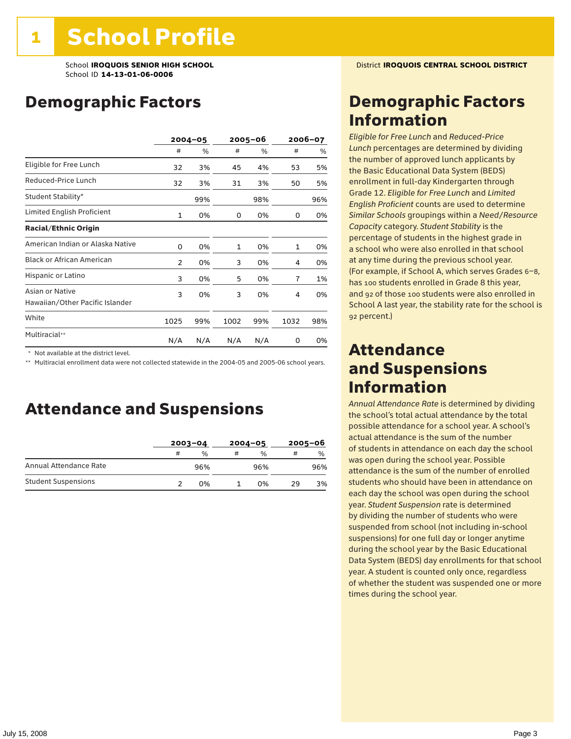School **IROQUOIS SENIOR HIGH SCHOOL** District **IROQUOIS CENTRAL SCHOOL DISTRICT** School ID **14-13-01-06-0006**

### Demographic Factors

|                                                    | $2004 - 05$  |     | 2005-06 |     | 2006-07 |     |
|----------------------------------------------------|--------------|-----|---------|-----|---------|-----|
|                                                    | #            | %   | #       | %   | #       | %   |
| Eligible for Free Lunch                            | 32           | 3%  | 45      | 4%  | 53      | 5%  |
| Reduced-Price Lunch                                | 32           | 3%  | 31      | 3%  | 50      | 5%  |
| Student Stability*                                 |              | 99% |         | 98% |         | 96% |
| Limited English Proficient                         | $\mathbf{1}$ | 0%  | 0       | 0%  | 0       | 0%  |
| <b>Racial/Ethnic Origin</b>                        |              |     |         |     |         |     |
| American Indian or Alaska Native                   | 0            | 0%  | 1       | 0%  | 1       | 0%  |
| <b>Black or African American</b>                   | 2            | 0%  | 3       | 0%  | 4       | 0%  |
| Hispanic or Latino                                 | 3            | 0%  | 5       | 0%  | 7       | 1%  |
| Asian or Native<br>Hawaiian/Other Pacific Islander | 3            | 0%  | 3       | 0%  | 4       | 0%  |
| White                                              | 1025         | 99% | 1002    | 99% | 1032    | 98% |
| Multiracial**                                      | N/A          | N/A | N/A     | N/A | 0       | 0%  |

\* Not available at the district level.

\*\* Multiracial enrollment data were not collected statewide in the 2004-05 and 2005-06 school years.

### Attendance and Suspensions

|                            |   | $2003 - 04$ |   | $2004 - 05$   | $2005 - 06$ |               |
|----------------------------|---|-------------|---|---------------|-------------|---------------|
|                            | # | %           | # | $\frac{0}{0}$ | #           | $\frac{0}{0}$ |
| Annual Attendance Rate     |   | 96%         |   | 96%           |             | 96%           |
| <b>Student Suspensions</b> |   | 0%          |   | በ%            | 29          | 3%            |

### Demographic Factors Information

*Eligible for Free Lunch* and *Reduced*-*Price Lunch* percentages are determined by dividing the number of approved lunch applicants by the Basic Educational Data System (BEDS) enrollment in full-day Kindergarten through Grade 12. *Eligible for Free Lunch* and *Limited English Proficient* counts are used to determine *Similar Schools* groupings within a *Need*/*Resource Capacity* category. *Student Stability* is the percentage of students in the highest grade in a school who were also enrolled in that school at any time during the previous school year. (For example, if School A, which serves Grades 6–8, has 100 students enrolled in Grade 8 this year, and 92 of those 100 students were also enrolled in School A last year, the stability rate for the school is 92 percent.)

### Attendance and Suspensions Information

*Annual Attendance Rate* is determined by dividing the school's total actual attendance by the total possible attendance for a school year. A school's actual attendance is the sum of the number of students in attendance on each day the school was open during the school year. Possible attendance is the sum of the number of enrolled students who should have been in attendance on each day the school was open during the school year. *Student Suspension* rate is determined by dividing the number of students who were suspended from school (not including in-school suspensions) for one full day or longer anytime during the school year by the Basic Educational Data System (BEDS) day enrollments for that school year. A student is counted only once, regardless of whether the student was suspended one or more times during the school year.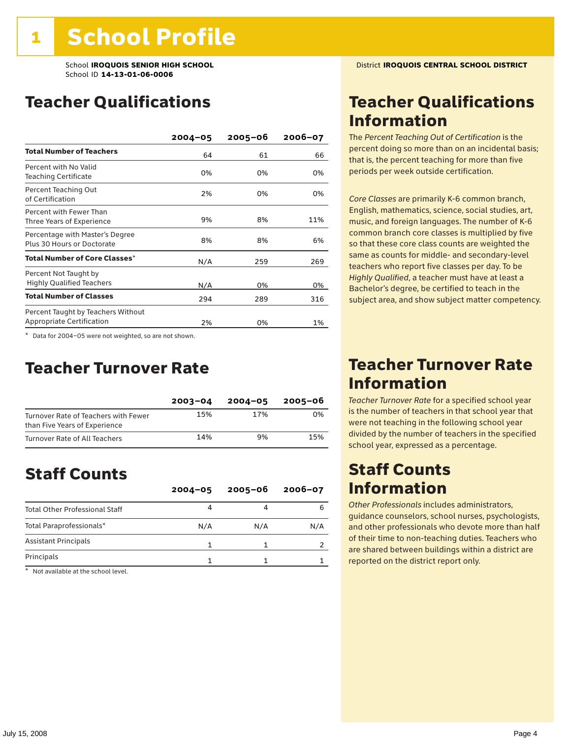### Teacher Qualifications

|                                                                 | $2004 - 05$ | 2005-06 | $2006 - 07$ |
|-----------------------------------------------------------------|-------------|---------|-------------|
| <b>Total Number of Teachers</b>                                 | 64          | 61      | 66          |
| Percent with No Valid<br><b>Teaching Certificate</b>            | 0%          | 0%      | 0%          |
| Percent Teaching Out<br>of Certification                        | 2%          | 0%      | 0%          |
| Percent with Fewer Than<br>Three Years of Experience            | 9%          | 8%      | 11%         |
| Percentage with Master's Degree<br>Plus 30 Hours or Doctorate   | 8%          | 8%      | 6%          |
| Total Number of Core Classes $^\star$                           | N/A         | 259     | 269         |
| Percent Not Taught by<br><b>Highly Qualified Teachers</b>       | N/A         | 0%      | 0%          |
| <b>Total Number of Classes</b>                                  | 294         | 289     | 316         |
| Percent Taught by Teachers Without<br>Appropriate Certification | 2%          | 0%      | 1%          |

\* Data for 2004–05 were not weighted, so are not shown.

### Teacher Turnover Rate

|                                                                       | $2003 - 04$ | $2004 - 05$ | 2005-06 |
|-----------------------------------------------------------------------|-------------|-------------|---------|
| Turnover Rate of Teachers with Fewer<br>than Five Years of Experience | 15%         | 17%         | 0%      |
| Turnover Rate of All Teachers                                         | 14%         | 9%          | 15%     |

## Staff Counts

|                                       | $2004 - 05$ | $2005 - 06$ | $2006 - 07$ |
|---------------------------------------|-------------|-------------|-------------|
| <b>Total Other Professional Staff</b> |             |             |             |
| Total Paraprofessionals*              | N/A         | N/A         | N/A         |
| <b>Assistant Principals</b>           |             |             |             |
| Principals                            |             |             |             |

\* Not available at the school level.

### Teacher Qualifications Information

The *Percent Teaching Out of Certification* is the percent doing so more than on an incidental basis; that is, the percent teaching for more than five periods per week outside certification.

*Core Classes* are primarily K-6 common branch, English, mathematics, science, social studies, art, music, and foreign languages. The number of K-6 common branch core classes is multiplied by five so that these core class counts are weighted the same as counts for middle- and secondary-level teachers who report five classes per day. To be *Highly Qualified*, a teacher must have at least a Bachelor's degree, be certified to teach in the subject area, and show subject matter competency.

### Teacher Turnover Rate Information

*Teacher Turnover Rate* for a specified school year is the number of teachers in that school year that were not teaching in the following school year divided by the number of teachers in the specified school year, expressed as a percentage.

### Staff Counts Information

*Other Professionals* includes administrators, guidance counselors, school nurses, psychologists, and other professionals who devote more than half of their time to non-teaching duties. Teachers who are shared between buildings within a district are reported on the district report only.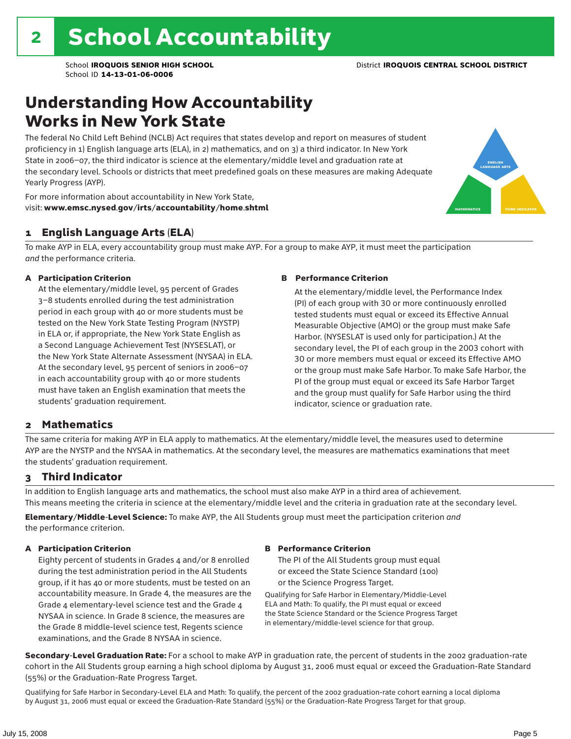### Understanding How Accountability Works in New York State

The federal No Child Left Behind (NCLB) Act requires that states develop and report on measures of student proficiency in 1) English language arts (ELA), in 2) mathematics, and on 3) a third indicator. In New York State in 2006–07, the third indicator is science at the elementary/middle level and graduation rate at the secondary level. Schools or districts that meet predefined goals on these measures are making Adequate Yearly Progress (AYP).



For more information about accountability in New York State, visit: www.emsc.nysed.gov/irts/accountability/home.shtml

#### 1 English Language Arts (ELA)

To make AYP in ELA, every accountability group must make AYP. For a group to make AYP, it must meet the participation *and* the performance criteria.

#### A Participation Criterion

At the elementary/middle level, 95 percent of Grades 3–8 students enrolled during the test administration period in each group with 40 or more students must be tested on the New York State Testing Program (NYSTP) in ELA or, if appropriate, the New York State English as a Second Language Achievement Test (NYSESLAT), or the New York State Alternate Assessment (NYSAA) in ELA. At the secondary level, 95 percent of seniors in 2006–07 in each accountability group with 40 or more students must have taken an English examination that meets the students' graduation requirement.

#### B Performance Criterion

At the elementary/middle level, the Performance Index (PI) of each group with 30 or more continuously enrolled tested students must equal or exceed its Effective Annual Measurable Objective (AMO) or the group must make Safe Harbor. (NYSESLAT is used only for participation.) At the secondary level, the PI of each group in the 2003 cohort with 30 or more members must equal or exceed its Effective AMO or the group must make Safe Harbor. To make Safe Harbor, the PI of the group must equal or exceed its Safe Harbor Target and the group must qualify for Safe Harbor using the third indicator, science or graduation rate.

#### 2 Mathematics

The same criteria for making AYP in ELA apply to mathematics. At the elementary/middle level, the measures used to determine AYP are the NYSTP and the NYSAA in mathematics. At the secondary level, the measures are mathematics examinations that meet the students' graduation requirement.

#### 3 Third Indicator

In addition to English language arts and mathematics, the school must also make AYP in a third area of achievement. This means meeting the criteria in science at the elementary/middle level and the criteria in graduation rate at the secondary level.

Elementary/Middle-Level Science: To make AYP, the All Students group must meet the participation criterion *and* the performance criterion.

#### A Participation Criterion

Eighty percent of students in Grades 4 and/or 8 enrolled during the test administration period in the All Students group, if it has 40 or more students, must be tested on an accountability measure. In Grade 4, the measures are the Grade 4 elementary-level science test and the Grade 4 NYSAA in science. In Grade 8 science, the measures are the Grade 8 middle-level science test, Regents science examinations, and the Grade 8 NYSAA in science.

#### B Performance Criterion

The PI of the All Students group must equal or exceed the State Science Standard (100) or the Science Progress Target.

Qualifying for Safe Harbor in Elementary/Middle-Level ELA and Math: To qualify, the PI must equal or exceed the State Science Standard or the Science Progress Target in elementary/middle-level science for that group.

Secondary-Level Graduation Rate: For a school to make AYP in graduation rate, the percent of students in the 2002 graduation-rate cohort in the All Students group earning a high school diploma by August 31, 2006 must equal or exceed the Graduation-Rate Standard (55%) or the Graduation-Rate Progress Target.

Qualifying for Safe Harbor in Secondary-Level ELA and Math: To qualify, the percent of the 2002 graduation-rate cohort earning a local diploma by August 31, 2006 must equal or exceed the Graduation-Rate Standard (55%) or the Graduation-Rate Progress Target for that group.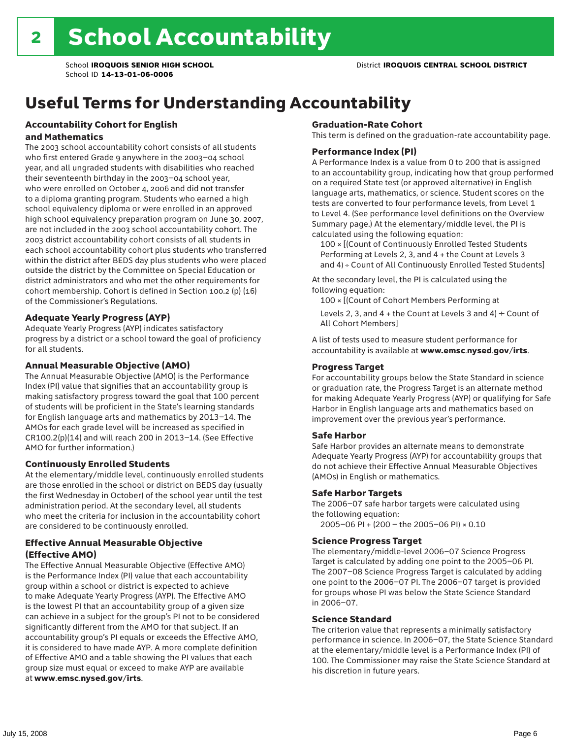## Useful Terms for Understanding Accountability

#### Accountability Cohort for English and Mathematics

The 2003 school accountability cohort consists of all students who first entered Grade 9 anywhere in the 2003–04 school year, and all ungraded students with disabilities who reached their seventeenth birthday in the 2003–04 school year, who were enrolled on October 4, 2006 and did not transfer to a diploma granting program. Students who earned a high school equivalency diploma or were enrolled in an approved high school equivalency preparation program on June 30, 2007, are not included in the 2003 school accountability cohort. The 2003 district accountability cohort consists of all students in each school accountability cohort plus students who transferred within the district after BEDS day plus students who were placed outside the district by the Committee on Special Education or district administrators and who met the other requirements for cohort membership. Cohort is defined in Section 100.2 (p) (16) of the Commissioner's Regulations.

#### Adequate Yearly Progress (AYP)

Adequate Yearly Progress (AYP) indicates satisfactory progress by a district or a school toward the goal of proficiency for all students.

#### Annual Measurable Objective (AMO)

The Annual Measurable Objective (AMO) is the Performance Index (PI) value that signifies that an accountability group is making satisfactory progress toward the goal that 100 percent of students will be proficient in the State's learning standards for English language arts and mathematics by 2013–14. The AMOs for each grade level will be increased as specified in CR100.2(p)(14) and will reach 200 in 2013–14. (See Effective AMO for further information.)

#### Continuously Enrolled Students

At the elementary/middle level, continuously enrolled students are those enrolled in the school or district on BEDS day (usually the first Wednesday in October) of the school year until the test administration period. At the secondary level, all students who meet the criteria for inclusion in the accountability cohort are considered to be continuously enrolled.

#### Effective Annual Measurable Objective (Effective AMO)

The Effective Annual Measurable Objective (Effective AMO) is the Performance Index (PI) value that each accountability group within a school or district is expected to achieve to make Adequate Yearly Progress (AYP). The Effective AMO is the lowest PI that an accountability group of a given size can achieve in a subject for the group's PI not to be considered significantly different from the AMO for that subject. If an accountability group's PI equals or exceeds the Effective AMO, it is considered to have made AYP. A more complete definition of Effective AMO and a table showing the PI values that each group size must equal or exceed to make AYP are available at www.emsc.nysed.gov/irts.

#### Graduation-Rate Cohort

This term is defined on the graduation-rate accountability page.

#### Performance Index (PI)

A Performance Index is a value from 0 to 200 that is assigned to an accountability group, indicating how that group performed on a required State test (or approved alternative) in English language arts, mathematics, or science. Student scores on the tests are converted to four performance levels, from Level 1 to Level 4. (See performance level definitions on the Overview Summary page.) At the elementary/middle level, the PI is calculated using the following equation:

100 × [(Count of Continuously Enrolled Tested Students Performing at Levels 2, 3, and 4 + the Count at Levels 3 and 4) ÷ Count of All Continuously Enrolled Tested Students]

At the secondary level, the PI is calculated using the following equation:

100 × [(Count of Cohort Members Performing at

Levels 2, 3, and 4 + the Count at Levels 3 and 4)  $\div$  Count of All Cohort Members]

A list of tests used to measure student performance for accountability is available at www.emsc.nysed.gov/irts.

#### Progress Target

For accountability groups below the State Standard in science or graduation rate, the Progress Target is an alternate method for making Adequate Yearly Progress (AYP) or qualifying for Safe Harbor in English language arts and mathematics based on improvement over the previous year's performance.

#### Safe Harbor

Safe Harbor provides an alternate means to demonstrate Adequate Yearly Progress (AYP) for accountability groups that do not achieve their Effective Annual Measurable Objectives (AMOs) in English or mathematics.

#### Safe Harbor Targets

The 2006–07 safe harbor targets were calculated using the following equation:

2005–06 PI + (200 – the 2005–06 PI) × 0.10

#### Science Progress Target

The elementary/middle-level 2006–07 Science Progress Target is calculated by adding one point to the 2005–06 PI. The 2007–08 Science Progress Target is calculated by adding one point to the 2006–07 PI. The 2006–07 target is provided for groups whose PI was below the State Science Standard in 2006–07.

#### Science Standard

The criterion value that represents a minimally satisfactory performance in science. In 2006–07, the State Science Standard at the elementary/middle level is a Performance Index (PI) of 100. The Commissioner may raise the State Science Standard at his discretion in future years.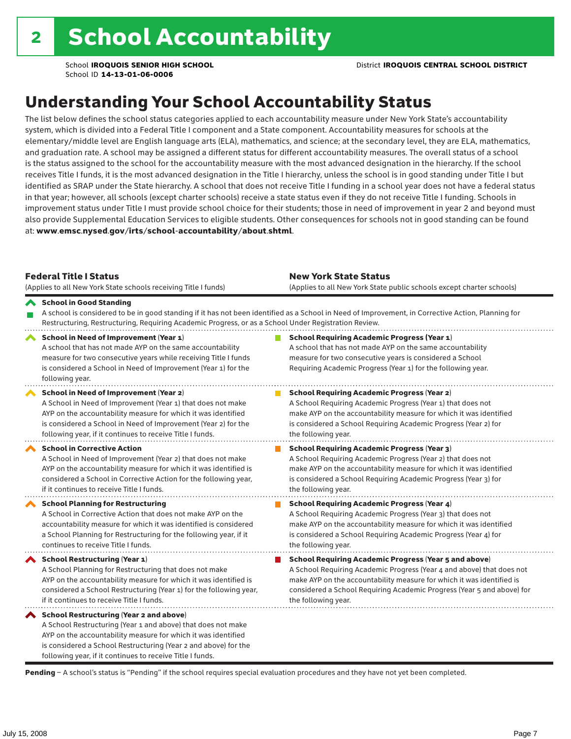## Understanding Your School Accountability Status

The list below defines the school status categories applied to each accountability measure under New York State's accountability system, which is divided into a Federal Title I component and a State component. Accountability measures for schools at the elementary/middle level are English language arts (ELA), mathematics, and science; at the secondary level, they are ELA, mathematics, and graduation rate. A school may be assigned a different status for different accountability measures. The overall status of a school is the status assigned to the school for the accountability measure with the most advanced designation in the hierarchy. If the school receives Title I funds, it is the most advanced designation in the Title I hierarchy, unless the school is in good standing under Title I but identified as SRAP under the State hierarchy. A school that does not receive Title I funding in a school year does not have a federal status in that year; however, all schools (except charter schools) receive a state status even if they do not receive Title I funding. Schools in improvement status under Title I must provide school choice for their students; those in need of improvement in year 2 and beyond must also provide Supplemental Education Services to eligible students. Other consequences for schools not in good standing can be found at: www.emsc.nysed.gov/irts/school-accountability/about.shtml.

| <b>Federal Title I Status</b><br>(Applies to all New York State schools receiving Title I funds)                                                                                                                                                                                                             | <b>New York State Status</b><br>(Applies to all New York State public schools except charter schools) |                                                                                                                                                                                                                                                                                                                 |  |  |  |
|--------------------------------------------------------------------------------------------------------------------------------------------------------------------------------------------------------------------------------------------------------------------------------------------------------------|-------------------------------------------------------------------------------------------------------|-----------------------------------------------------------------------------------------------------------------------------------------------------------------------------------------------------------------------------------------------------------------------------------------------------------------|--|--|--|
| School in Good Standing<br>Restructuring, Restructuring, Requiring Academic Progress, or as a School Under Registration Review.                                                                                                                                                                              |                                                                                                       | A school is considered to be in good standing if it has not been identified as a School in Need of Improvement, in Corrective Action, Planning for                                                                                                                                                              |  |  |  |
| School in Need of Improvement (Year 1)<br>A school that has not made AYP on the same accountability<br>measure for two consecutive years while receiving Title I funds<br>is considered a School in Need of Improvement (Year 1) for the<br>following year.                                                  |                                                                                                       | <b>School Requiring Academic Progress (Year 1)</b><br>A school that has not made AYP on the same accountability<br>measure for two consecutive years is considered a School<br>Requiring Academic Progress (Year 1) for the following year.                                                                     |  |  |  |
| <b>School in Need of Improvement (Year 2)</b><br>A School in Need of Improvement (Year 1) that does not make<br>AYP on the accountability measure for which it was identified<br>is considered a School in Need of Improvement (Year 2) for the<br>following year, if it continues to receive Title I funds. |                                                                                                       | <b>School Requiring Academic Progress (Year 2)</b><br>A School Requiring Academic Progress (Year 1) that does not<br>make AYP on the accountability measure for which it was identified<br>is considered a School Requiring Academic Progress (Year 2) for<br>the following year.                               |  |  |  |
| <b>School in Corrective Action</b><br>A School in Need of Improvement (Year 2) that does not make<br>AYP on the accountability measure for which it was identified is<br>considered a School in Corrective Action for the following year,<br>if it continues to receive Title I funds.                       |                                                                                                       | <b>School Requiring Academic Progress (Year 3)</b><br>A School Requiring Academic Progress (Year 2) that does not<br>make AYP on the accountability measure for which it was identified<br>is considered a School Requiring Academic Progress (Year 3) for<br>the following year.                               |  |  |  |
| <b>School Planning for Restructuring</b><br>A School in Corrective Action that does not make AYP on the<br>accountability measure for which it was identified is considered<br>a School Planning for Restructuring for the following year, if it<br>continues to receive Title I funds.                      |                                                                                                       | <b>School Requiring Academic Progress (Year 4)</b><br>A School Requiring Academic Progress (Year 3) that does not<br>make AYP on the accountability measure for which it was identified<br>is considered a School Requiring Academic Progress (Year 4) for<br>the following year.                               |  |  |  |
| <b>School Restructuring (Year 1)</b><br>A School Planning for Restructuring that does not make<br>AYP on the accountability measure for which it was identified is<br>considered a School Restructuring (Year 1) for the following year,<br>if it continues to receive Title I funds.                        |                                                                                                       | <b>School Requiring Academic Progress (Year 5 and above)</b><br>A School Requiring Academic Progress (Year 4 and above) that does not<br>make AYP on the accountability measure for which it was identified is<br>considered a School Requiring Academic Progress (Year 5 and above) for<br>the following year. |  |  |  |
| School Restructuring (Year 2 and above)<br>A School Restructuring (Year 1 and above) that does not make<br>AYP on the accountability measure for which it was identified<br>is considered a School Restructuring (Year 2 and above) for the<br>following year, if it continues to receive Title I funds.     |                                                                                                       |                                                                                                                                                                                                                                                                                                                 |  |  |  |

Pending - A school's status is "Pending" if the school requires special evaluation procedures and they have not yet been completed.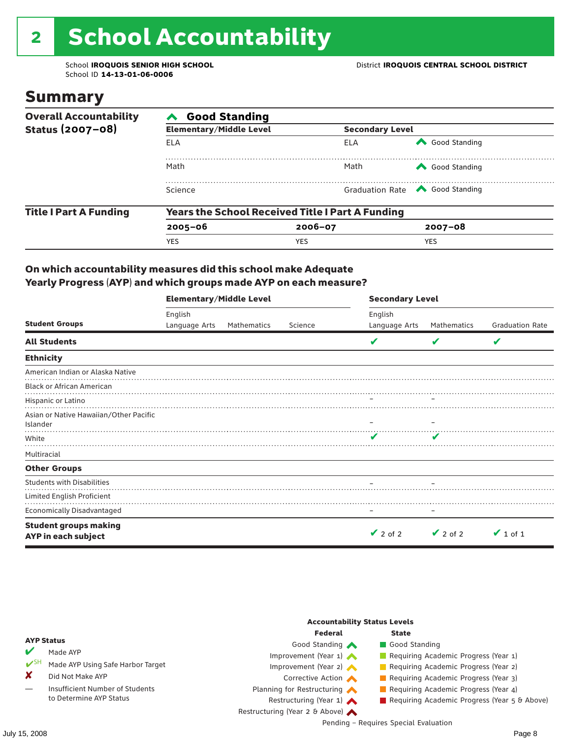# 2 School Accountability

School ID **14-13-01-06-0006**

### Summary

| <b>Good Standing</b>           |            |                                                         |                                       |  |  |  |
|--------------------------------|------------|---------------------------------------------------------|---------------------------------------|--|--|--|
| <b>Elementary/Middle Level</b> |            | <b>Secondary Level</b>                                  |                                       |  |  |  |
| ELA                            | ELA        | Good Standing                                           |                                       |  |  |  |
| Math                           | Math       | Good Standing                                           |                                       |  |  |  |
| Science                        |            |                                                         |                                       |  |  |  |
|                                |            |                                                         |                                       |  |  |  |
| $2005 - 06$                    | 2006-07    | $2007 - 08$                                             |                                       |  |  |  |
| <b>YES</b>                     | <b>YES</b> | <b>YES</b>                                              |                                       |  |  |  |
|                                |            | <b>Years the School Received Title I Part A Funding</b> | Graduation Rate <a> Good Standing</a> |  |  |  |

#### On which accountability measures did this school make Adequate Yearly Progress (AYP) and which groups made AYP on each measure?

|                                                     | <b>Elementary/Middle Level</b> |             |         | <b>Secondary Level</b><br>English |               |                        |  |
|-----------------------------------------------------|--------------------------------|-------------|---------|-----------------------------------|---------------|------------------------|--|
|                                                     | English                        |             |         |                                   |               |                        |  |
| <b>Student Groups</b>                               | Language Arts                  | Mathematics | Science | Language Arts                     | Mathematics   | <b>Graduation Rate</b> |  |
| <b>All Students</b>                                 |                                |             |         | v                                 |               | V                      |  |
| <b>Ethnicity</b>                                    |                                |             |         |                                   |               |                        |  |
| American Indian or Alaska Native                    |                                |             |         |                                   |               |                        |  |
| <b>Black or African American</b>                    |                                |             |         |                                   |               |                        |  |
| Hispanic or Latino                                  |                                |             |         |                                   |               |                        |  |
| Asian or Native Hawaiian/Other Pacific<br>Islander  |                                |             |         |                                   |               |                        |  |
| White                                               |                                |             |         | v                                 |               |                        |  |
| Multiracial                                         |                                |             |         |                                   |               |                        |  |
| <b>Other Groups</b>                                 |                                |             |         |                                   |               |                        |  |
| <b>Students with Disabilities</b>                   |                                |             |         |                                   |               |                        |  |
| Limited English Proficient                          |                                |             |         |                                   |               |                        |  |
| <b>Economically Disadvantaged</b>                   |                                |             |         |                                   |               |                        |  |
| <b>Student groups making</b><br>AYP in each subject |                                |             |         | $\vee$ 2 of 2                     | $\vee$ 2 of 2 | $\vee$ 1 of 1          |  |

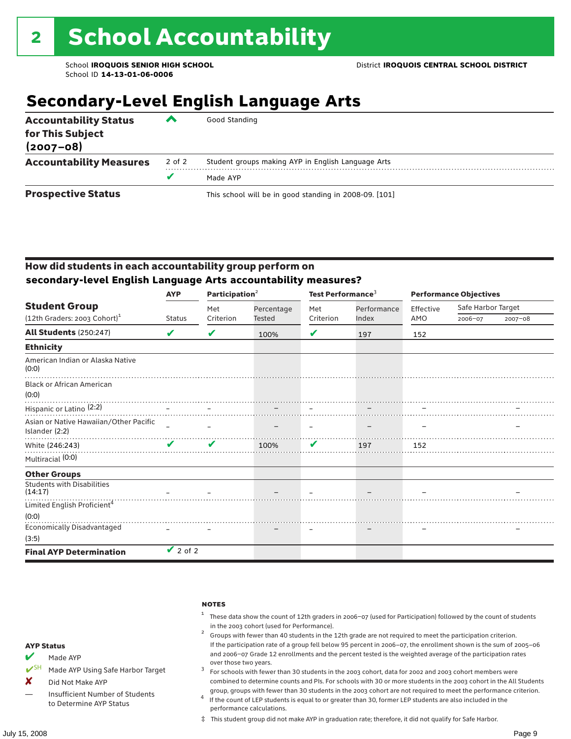## **Secondary-Level English Language Arts**

| <b>Accountability Status</b><br>for This Subject<br>$(2007 - 08)$ | ▰      | Good Standing                                          |
|-------------------------------------------------------------------|--------|--------------------------------------------------------|
| <b>Accountability Measures</b>                                    | 2 of 2 | Student groups making AYP in English Language Arts     |
|                                                                   |        | Made AYP                                               |
| <b>Prospective Status</b>                                         |        | This school will be in good standing in 2008-09. [101] |

#### How did students in each accountability group perform on **secondary-level English Language Arts accountability measures?**

|                                                                    | <b>AYP</b>    | Participation $2$ |               | Test Performance <sup>3</sup> |             | <b>Performance Objectives</b> |                    |             |
|--------------------------------------------------------------------|---------------|-------------------|---------------|-------------------------------|-------------|-------------------------------|--------------------|-------------|
| <b>Student Group</b><br>$(12th$ Graders: 2003 Cohort) <sup>1</sup> |               | Met               | Percentage    | Met                           | Performance | Effective                     | Safe Harbor Target |             |
|                                                                    | <b>Status</b> | Criterion         | <b>Tested</b> | Criterion                     | Index       | AMO                           | 2006-07            | $2007 - 08$ |
| <b>All Students (250:247)</b>                                      | V             | V                 | 100%          | V                             | 197         | 152                           |                    |             |
| <b>Ethnicity</b>                                                   |               |                   |               |                               |             |                               |                    |             |
| American Indian or Alaska Native<br>(0:0)                          |               |                   |               |                               |             |                               |                    |             |
| <b>Black or African American</b><br>(0:0)                          |               |                   |               |                               |             |                               |                    |             |
| Hispanic or Latino <sup>(2:2)</sup>                                |               |                   |               |                               |             |                               |                    |             |
| Asian or Native Hawaiian/Other Pacific<br>Islander (2:2)           |               |                   |               |                               |             |                               |                    |             |
| White (246:243)                                                    | ✔             | ✔                 | 100%          | V                             | 197         | 152                           |                    |             |
| Multiracial (0:0)                                                  |               |                   |               |                               |             |                               |                    |             |
| <b>Other Groups</b>                                                |               |                   |               |                               |             |                               |                    |             |
| <b>Students with Disabilities</b><br>(14:17)                       |               |                   |               |                               |             |                               |                    |             |
| Limited English Proficient <sup>4</sup>                            |               |                   |               |                               |             |                               |                    |             |
| (0:0)                                                              |               |                   |               |                               |             |                               |                    |             |
| <b>Economically Disadvantaged</b>                                  |               |                   |               |                               |             |                               |                    |             |
| (3:5)                                                              |               |                   |               |                               |             |                               |                    |             |
| <b>Final AYP Determination</b>                                     | $\vee$ 2 of 2 |                   |               |                               |             |                               |                    |             |

|          | <b>NOTES</b>                                        |
|----------|-----------------------------------------------------|
|          | <sup>1</sup> These data show the count of 12th grad |
|          | in the 2003 cohort (used for Performand             |
|          | Groups with fewer than 40 students in tl            |
| itatus   | If the participation rate of a group fell be        |
| $\cdots$ | and 2006-07 Grade 12 enrollments and                |

- lers in 2006–07 (used for Participation) followed by the count of students :e).<br>he 12th grade are not required to meet the participation criterion.
- elow 95 percent in 2006–07, the enrollment shown is the sum of 2005–06 the percent tested is the weighted average of the participation rates over those two years.  $3<sup>3</sup>$  For schools with fewer than 30 students in the 2003 cohort, data for 2002 and 2003 cohort members were
- combined to determine counts and PIs. For schools with 30 or more students in the 2003 cohort in the All Students
- group, groups with fewer than 30 students in the 2003 cohort are not required to meet the performance criterion. <sup>4</sup> If the count of LEP students is equal to or greater than 30, former LEP students are also included in the performance calculations.
- ‡ This student group did not make AYP in graduation rate; therefore, it did not qualify for Safe Harbor.
- $M$  Made AYP
- Made AYP Using Safe Harbor Target
- X Did Not Make AYP
- Insufficient Number of Students to Determine AYP Status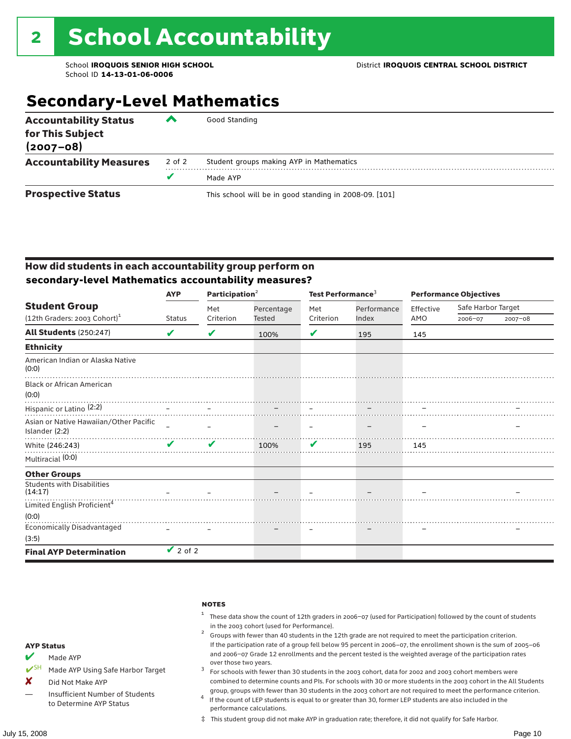## **Secondary-Level Mathematics**

| <b>Accountability Status</b><br>for This Subject<br>$(2007 - 08)$ | ‴      | Good Standing                                          |
|-------------------------------------------------------------------|--------|--------------------------------------------------------|
| <b>Accountability Measures</b>                                    | 2 of 2 | Student groups making AYP in Mathematics               |
|                                                                   |        | Made AYP                                               |
| <b>Prospective Status</b>                                         |        | This school will be in good standing in 2008-09. [101] |

#### How did students in each accountability group perform on **secondary-level Mathematics accountability measures?**

|                                                                | <b>AYP</b>    | Participation $2$ |            | Test Performance <sup>3</sup> |             |           | <b>Performance Objectives</b> |         |  |
|----------------------------------------------------------------|---------------|-------------------|------------|-------------------------------|-------------|-----------|-------------------------------|---------|--|
| <b>Student Group</b>                                           |               | Met               | Percentage | Met                           | Performance | Effective | Safe Harbor Target            |         |  |
| $(12th$ Graders: 2003 Cohort) <sup>1</sup>                     | <b>Status</b> | Criterion         | Tested     | Criterion                     | Index       | AMO       | 2006-07                       | 2007-08 |  |
| <b>All Students (250:247)</b>                                  | V             | V                 | 100%       | V                             | 195         | 145       |                               |         |  |
| <b>Ethnicity</b>                                               |               |                   |            |                               |             |           |                               |         |  |
| American Indian or Alaska Native<br>(0:0)                      |               |                   |            |                               |             |           |                               |         |  |
| <b>Black or African American</b><br>(0:0)                      |               |                   |            |                               |             |           |                               |         |  |
| 1.0.07<br>Hispanic or Latino (2:2)<br>Hispanic or Latino (2:2) |               |                   |            |                               |             |           |                               |         |  |
| Asian or Native Hawaiian/Other Pacific<br>Islander (2:2)       |               |                   |            |                               |             |           |                               |         |  |
| White (246:243)                                                | $\mathbf{v}$  | $\mathbf{v}$      | 100%       | V                             | 195         | 145       |                               |         |  |
| Multiracial (0:0)                                              |               |                   |            |                               |             |           |                               |         |  |
| <b>Other Groups</b>                                            |               |                   |            |                               |             |           |                               |         |  |
| <b>Students with Disabilities</b><br>(14:17)                   |               |                   |            |                               |             |           |                               |         |  |
| Limited English Proficient <sup>4</sup>                        |               |                   |            |                               |             |           |                               |         |  |
| (0:0)                                                          |               |                   |            |                               |             |           |                               |         |  |
| <b>Economically Disadvantaged</b>                              |               |                   |            |                               |             |           |                               |         |  |
| (3:5)                                                          |               |                   |            |                               |             |           |                               |         |  |
| <b>Final AYP Determination</b>                                 | $\vee$ 2 of 2 |                   |            |                               |             |           |                               |         |  |

|                   | <b>NOTES</b>                                                           |
|-------------------|------------------------------------------------------------------------|
|                   | <sup>1</sup> These data sho<br>in the 2003 cor<br>Groups with fet<br>2 |
| <b>AYP Status</b> | If the participa                                                       |
|                   | .                                                                      |

- $M$  Made AYP
- ◆ SH Made AYP Using Safe Harbor Target
- X Did Not Make AYP
- Insufficient Number of Students to Determine AYP Status
- w the count of 12th graders in 2006–07 (used for Participation) followed by the count of students hort (used for Performance).<br>wer than 40 students in the 12th grade are not required to meet the participation criterion.
- tion rate of a group fell below 95 percent in 2006–07, the enrollment shown is the sum of 2005–06 and 2006–07 Grade 12 enrollments and the percent tested is the weighted average of the participation rates
- over those two years.  $3<sup>3</sup>$  For schools with fewer than 30 students in the 2003 cohort, data for 2002 and 2003 cohort members were combined to determine counts and PIs. For schools with 30 or more students in the 2003 cohort in the All Students
- group, groups with fewer than 30 students in the 2003 cohort are not required to meet the performance criterion. <sup>4</sup> If the count of LEP students is equal to or greater than 30, former LEP students are also included in the performance calculations.
- ‡ This student group did not make AYP in graduation rate; therefore, it did not qualify for Safe Harbor.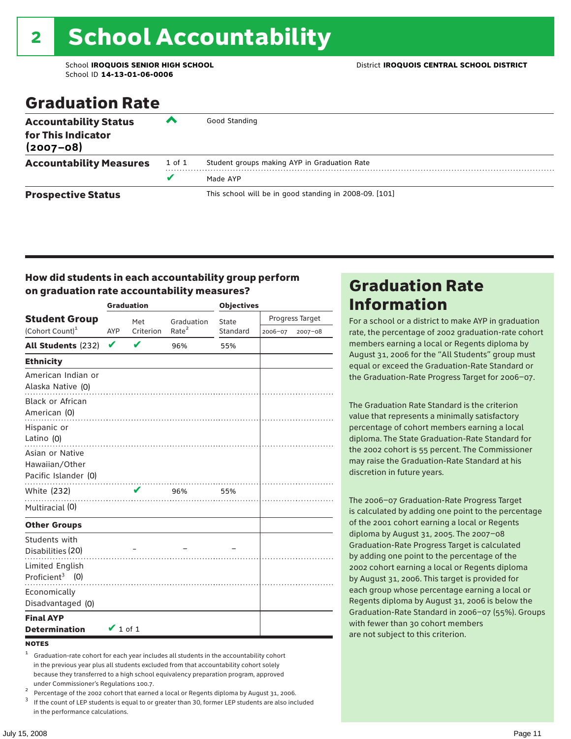## 2 School Accountability

School ID **14-13-01-06-0006**

### Graduation Rate

| <b>Accountability Status</b><br>for This Indicator<br>$(2007 - 08)$ | ▰      | Good Standing                                          |
|---------------------------------------------------------------------|--------|--------------------------------------------------------|
| <b>Accountability Measures</b>                                      | 1 of 1 | Student groups making AYP in Graduation Rate           |
|                                                                     | v      | Made AYP                                               |
| <b>Prospective Status</b>                                           |        | This school will be in good standing in 2008-09. [101] |

#### How did students in each accountability group perform on graduation rate accountability measures?

|                                                           |               | <b>Graduation</b>          |                   | <b>Objectives</b> |         |                 |  |
|-----------------------------------------------------------|---------------|----------------------------|-------------------|-------------------|---------|-----------------|--|
| <b>Student Group</b>                                      |               | Met                        | Graduation        | State             |         | Progress Target |  |
| (Cohort Count) <sup>1</sup>                               | <b>AYP</b>    | Criterion                  | Rate <sup>2</sup> | Standard          | 2006-07 | 2007-08         |  |
| All Students (232)                                        | $\checkmark$  | $\boldsymbol{\mathcal{U}}$ | 96%               | 55%               |         |                 |  |
| <b>Ethnicity</b>                                          |               |                            |                   |                   |         |                 |  |
| American Indian or<br>Alaska Native (0)                   |               |                            |                   |                   |         |                 |  |
| <b>Black or African</b><br>American (0)<br>Hispanic or    |               |                            |                   |                   |         |                 |  |
| Latino (0)                                                |               |                            |                   |                   |         |                 |  |
| Asian or Native<br>Hawaiian/Other<br>Pacific Islander (0) |               |                            |                   |                   |         |                 |  |
| White (232)                                               |               | $\mathbf{v}$               | 96%               | 55%               |         |                 |  |
| Multiracial (0)                                           | .             |                            |                   |                   |         |                 |  |
| <b>Other Groups</b>                                       |               |                            |                   |                   |         |                 |  |
| Students with<br>Disabilities (20)                        |               |                            |                   |                   |         |                 |  |
| <b>Limited English</b><br>Proficient <sup>3</sup> $(0)$   |               |                            |                   |                   |         |                 |  |
| Economically<br>Disadvantaged (0)                         |               |                            |                   |                   |         |                 |  |
| <b>Final AYP</b><br><b>Determination</b>                  | $\vee$ 1 of 1 |                            |                   |                   |         |                 |  |

#### **NOTES**

<sup>1</sup> Graduation-rate cohort for each year includes all students in the accountability cohort in the previous year plus all students excluded from that accountability cohort solely because they transferred to a high school equivalency preparation program, approved

under Commissioner's Regulations 100.7.<br>
Percentage of the 2002 cohort that earned a local or Regents diploma by August 31, 2006.<br>
If the count of LEP students is equal to or greater than 30, former LEP students are also in the performance calculations.

### Graduation Rate Information

For a school or a district to make AYP in graduation rate, the percentage of 2002 graduation-rate cohort members earning a local or Regents diploma by August 31, 2006 for the "All Students" group must equal or exceed the Graduation-Rate Standard or the Graduation-Rate Progress Target for 2006–07.

The Graduation Rate Standard is the criterion value that represents a minimally satisfactory percentage of cohort members earning a local diploma. The State Graduation-Rate Standard for the 2002 cohort is 55 percent. The Commissioner may raise the Graduation-Rate Standard at his discretion in future years.

The 2006–07 Graduation-Rate Progress Target is calculated by adding one point to the percentage of the 2001 cohort earning a local or Regents diploma by August 31, 2005. The 2007–08 Graduation-Rate Progress Target is calculated by adding one point to the percentage of the 2002 cohort earning a local or Regents diploma by August 31, 2006. This target is provided for each group whose percentage earning a local or Regents diploma by August 31, 2006 is below the Graduation-Rate Standard in 2006–07 (55%). Groups with fewer than 30 cohort members are not subject to this criterion.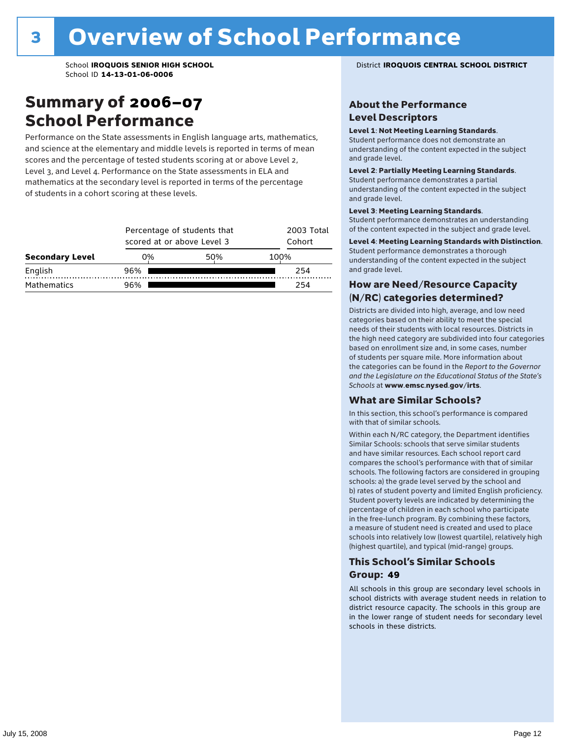### Summary of 2006–07 School Performance

Performance on the State assessments in English language arts, mathematics, and science at the elementary and middle levels is reported in terms of mean scores and the percentage of tested students scoring at or above Level 2, Level 3, and Level 4. Performance on the State assessments in ELA and mathematics at the secondary level is reported in terms of the percentage of students in a cohort scoring at these levels.

|                        |     | Percentage of students that<br>scored at or above Level 3 |      |  |  |  |  |  |
|------------------------|-----|-----------------------------------------------------------|------|--|--|--|--|--|
| <b>Secondary Level</b> | 0%  | 50%                                                       | 100% |  |  |  |  |  |
| English                | 96% |                                                           | 254  |  |  |  |  |  |
| <b>Mathematics</b>     | 96% |                                                           | 254  |  |  |  |  |  |

#### School **IROQUOIS SENIOR HIGH SCHOOL** District **IROQUOIS CENTRAL SCHOOL DISTRICT**

#### About the Performance Level Descriptors

#### Level 1: Not Meeting Learning Standards.

Student performance does not demonstrate an understanding of the content expected in the subject and grade level.

#### Level 2: Partially Meeting Learning Standards.

Student performance demonstrates a partial understanding of the content expected in the subject and grade level.

#### Level 3: Meeting Learning Standards.

Student performance demonstrates an understanding of the content expected in the subject and grade level.

#### Level 4: Meeting Learning Standards with Distinction.

Student performance demonstrates a thorough understanding of the content expected in the subject and grade level.

#### How are Need/Resource Capacity (N/RC) categories determined?

Districts are divided into high, average, and low need categories based on their ability to meet the special needs of their students with local resources. Districts in the high need category are subdivided into four categories based on enrollment size and, in some cases, number of students per square mile. More information about the categories can be found in the *Report to the Governor and the Legislature on the Educational Status of the State's Schools* at www.emsc.nysed.gov/irts.

#### What are Similar Schools?

In this section, this school's performance is compared with that of similar schools.

Within each N/RC category, the Department identifies Similar Schools: schools that serve similar students and have similar resources. Each school report card compares the school's performance with that of similar schools. The following factors are considered in grouping schools: a) the grade level served by the school and b) rates of student poverty and limited English proficiency. Student poverty levels are indicated by determining the percentage of children in each school who participate in the free-lunch program. By combining these factors, a measure of student need is created and used to place schools into relatively low (lowest quartile), relatively high (highest quartile), and typical (mid-range) groups.

#### This School's Similar Schools Group: **49**

All schools in this group are secondary level schools in school districts with average student needs in relation to district resource capacity. The schools in this group are in the lower range of student needs for secondary level schools in these districts.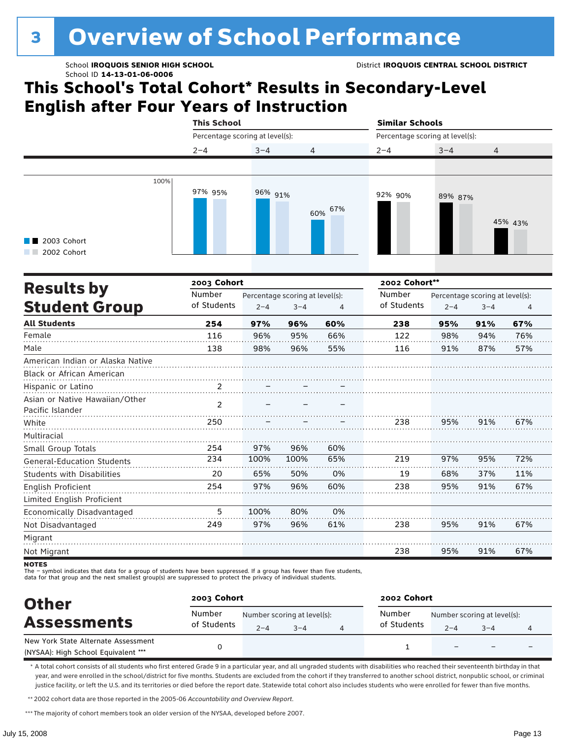## **3 Overview of School Performance**

## **This School's Total Cohort\* Results in Secondary-Level English after Four Years of Instruction**

|                                    | <b>This School</b> |                                 |         |            | <b>Similar Schools</b> |                                 |         |         |  |
|------------------------------------|--------------------|---------------------------------|---------|------------|------------------------|---------------------------------|---------|---------|--|
|                                    |                    | Percentage scoring at level(s): |         |            |                        | Percentage scoring at level(s): |         |         |  |
|                                    | $2 - 4$            | $3 - 4$                         | 4       |            | $2 - 4$                | $3 - 4$                         | 4       |         |  |
|                                    |                    |                                 |         |            |                        |                                 |         |         |  |
| 100%<br>2003 Cohort<br>2002 Cohort | 97% 95%            | 96% 91%                         |         | 67%<br>60% | 92% 90%                | 89% 87%                         |         | 45% 43% |  |
| <b>Results by</b>                  |                    | 2003 Cohort                     |         |            |                        | 2002 Cohort**                   |         |         |  |
|                                    | Number             | Percentage scoring at level(s): |         |            | Number                 | Percentage scoring at level(s): |         |         |  |
| <b>Student Group</b>               | of Students        | $2 - 4$                         | $3 - 4$ | $\Delta$   | of Students            | $2 - 4$                         | $3 - 4$ | 4       |  |
| <b>All Students</b>                | 254                | 97%                             | 96%     | 60%        | 238                    | 95%                             | 91%     | 67%     |  |
| Female                             | 116                | 96%                             | 95%     | 66%        | 122                    | 98%                             | 94%     | 76%     |  |
| Male                               | 138                | 98%                             | 96%     | 55%        | 116                    | 91%                             | 87%     | 57%     |  |
| American Indian or Alaska Native   |                    |                                 |         |            |                        |                                 |         |         |  |
| <b>Black or African American</b>   |                    |                                 |         |            |                        |                                 |         |         |  |
| Hispanic or Latino                 | 2                  |                                 |         |            |                        |                                 |         |         |  |
| Asian or Native Hawaiian/Other     | $\mathcal{P}$      |                                 |         |            |                        |                                 |         |         |  |
| Pacific Islander                   |                    |                                 |         |            |                        |                                 |         |         |  |
| White                              | 250                |                                 |         |            | 238                    | 95%                             | 91%     | 67%     |  |
| Multiracial                        |                    |                                 |         |            |                        |                                 |         |         |  |
| Small Group Totals                 | 254                | 97%                             | 96%     | 60%        |                        |                                 |         |         |  |

- symbol indicates that data for a group of students have been suppressed. If a group has fewer than five students,

234 20 254 100% 65% 97% 100% 50% 96% 65% 0% 60%

219 19 238

97% 68% 95%

95% 37% 91%

72% 11% 67%

67%

67%

91%

91%

95%

95%

238

238

0% 61%

80% 96%

100% 97%

5 249

data for that group and the next smallest group(s) are suppressed to protect the privacy of individual students.

| <b>Other</b>                                                               | 2003 Cohort           |                                                   |  |  | 2002 Cohort           |         |                                        |  |
|----------------------------------------------------------------------------|-----------------------|---------------------------------------------------|--|--|-----------------------|---------|----------------------------------------|--|
| <b>Assessments</b>                                                         | Number<br>of Students | Number scoring at level(s):<br>$2 - 4$<br>$3 - 4$ |  |  | Number<br>of Students | $2 - 4$ | Number scoring at level(s):<br>$3 - 4$ |  |
| New York State Alternate Assessment<br>(NYSAA): High School Equivalent *** |                       |                                                   |  |  |                       | $-$     |                                        |  |

\* A total cohort consists of all students who first entered Grade 9 in a particular year, and all ungraded students with disabilities who reached their seventeenth birthday in that year, and were enrolled in the school/district for five months. Students are excluded from the cohort if they transferred to another school district, nonpublic school, or criminal justice facility, or left the U.S. and its territories or died before the report date. Statewide total cohort also includes students who were enrolled for fewer than five months.

\*\*2002 cohort data are those reported in the 2005-06 *Accountability and Overview Report*.

\*\*\* The majority of cohort members took an older version of the NYSAA, developed before 2007.

General-Education Students Students with Disabilities

Limited English Proficient Economically Disadvantaged

English Proficient

Not Disadvantaged

Migrant Not Migrant **NOTES**